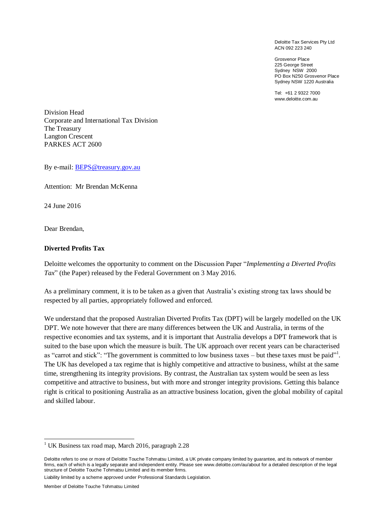Deloitte Tax Services Pty Ltd ACN 092 223 240

Grosvenor Place 225 George Street Sydney NSW 2000 PO Box N250 Grosvenor Place Sydney NSW 1220 Australia

Tel: +61 2 9322 7000 www.deloitte.com.au

Division Head Corporate and International Tax Division The Treasury Langton Crescent PARKES ACT 2600

By e-mail: [BEPS@treasury.gov.au](mailto:BEPS@treasury.gov.au)

Attention: Mr Brendan McKenna

24 June 2016

Dear Brendan,

#### **Diverted Profits Tax**

Deloitte welcomes the opportunity to comment on the Discussion Paper "*Implementing a Diverted Profits Tax*" (the Paper) released by the Federal Government on 3 May 2016.

As a preliminary comment, it is to be taken as a given that Australia's existing strong tax laws should be respected by all parties, appropriately followed and enforced.

We understand that the proposed Australian Diverted Profits Tax (DPT) will be largely modelled on the UK DPT. We note however that there are many differences between the UK and Australia, in terms of the respective economies and tax systems, and it is important that Australia develops a DPT framework that is suited to the base upon which the measure is built. The UK approach over recent years can be characterised as "carrot and stick": "The government is committed to low business taxes – but these taxes must be paid"<sup>1</sup>. The UK has developed a tax regime that is highly competitive and attractive to business, whilst at the same time, strengthening its integrity provisions. By contrast, the Australian tax system would be seen as less competitive and attractive to business, but with more and stronger integrity provisions. Getting this balance right is critical to positioning Australia as an attractive business location, given the global mobility of capital and skilled labour.

<sup>&</sup>lt;sup>1</sup> UK Business tax road map, March 2016, paragraph  $2.28$ 

Deloitte refers to one or more of Deloitte Touche Tohmatsu Limited, a UK private company limited by guarantee, and its network of member firms, each of which is a legally separate and independent entity. Please see www.deloitte.com/au/about for a detailed description of the legal structure of Deloitte Touche Tohmatsu Limited and its member firms.

Liability limited by a scheme approved under Professional Standards Legislation.

Member of Deloitte Touche Tohmatsu Limited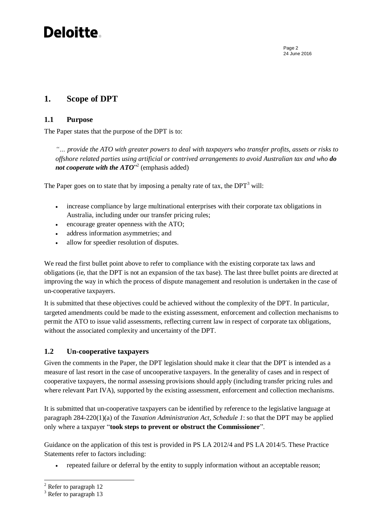### **Deloitte**

Page 2 24 June 2016

### **1. Scope of DPT**

#### **1.1 Purpose**

The Paper states that the purpose of the DPT is to:

*"… provide the ATO with greater powers to deal with taxpayers who transfer profits, assets or risks to offshore related parties using artificial or contrived arrangements to avoid Australian tax and who do*  not cooperate with the ATO<sup>"2</sup> (emphasis added)

The Paper goes on to state that by imposing a penalty rate of tax, the  $DPT<sup>3</sup>$  will:

- increase compliance by large multinational enterprises with their corporate tax obligations in Australia, including under our transfer pricing rules;
- encourage greater openness with the ATO;
- address information asymmetries; and
- allow for speedier resolution of disputes.

We read the first bullet point above to refer to compliance with the existing corporate tax laws and obligations (ie, that the DPT is not an expansion of the tax base). The last three bullet points are directed at improving the way in which the process of dispute management and resolution is undertaken in the case of un-cooperative taxpayers.

It is submitted that these objectives could be achieved without the complexity of the DPT. In particular, targeted amendments could be made to the existing assessment, enforcement and collection mechanisms to permit the ATO to issue valid assessments, reflecting current law in respect of corporate tax obligations, without the associated complexity and uncertainty of the DPT.

#### **1.2 Un-cooperative taxpayers**

Given the comments in the Paper, the DPT legislation should make it clear that the DPT is intended as a measure of last resort in the case of uncooperative taxpayers. In the generality of cases and in respect of cooperative taxpayers, the normal assessing provisions should apply (including transfer pricing rules and where relevant Part IVA), supported by the existing assessment, enforcement and collection mechanisms.

It is submitted that un-cooperative taxpayers can be identified by reference to the legislative language at paragraph 284-220(1)(a) of the *Taxation Administration Act, Schedule 1*: so that the DPT may be applied only where a taxpayer "**took steps to prevent or obstruct the Commissioner**".

Guidance on the application of this test is provided in PS LA 2012/4 and PS LA 2014/5. These Practice Statements refer to factors including:

repeated failure or deferral by the entity to supply information without an acceptable reason;

 $\overline{a}$ 

<sup>2</sup> Refer to paragraph 12

<sup>&</sup>lt;sup>3</sup> Refer to paragraph 13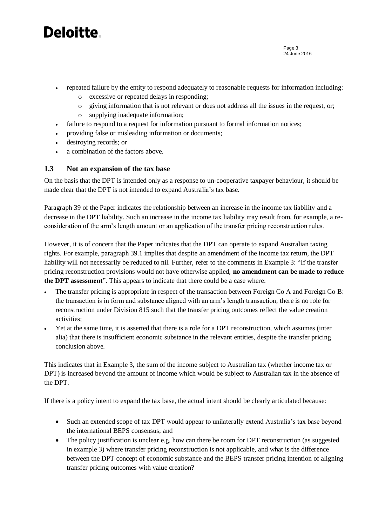## Deloitte.

- Page 3 24 June 2016
- repeated failure by the entity to respond adequately to reasonable requests for information including:
	- o excessive or repeated delays in responding;
	- o giving information that is not relevant or does not address all the issues in the request, or;
	- o supplying inadequate information;
- failure to respond to a request for information pursuant to formal information notices;
- providing false or misleading information or documents;
- destroying records; or
- a combination of the factors above.

#### **1.3 Not an expansion of the tax base**

On the basis that the DPT is intended only as a response to un-cooperative taxpayer behaviour, it should be made clear that the DPT is not intended to expand Australia's tax base.

Paragraph 39 of the Paper indicates the relationship between an increase in the income tax liability and a decrease in the DPT liability. Such an increase in the income tax liability may result from, for example, a reconsideration of the arm's length amount or an application of the transfer pricing reconstruction rules.

However, it is of concern that the Paper indicates that the DPT can operate to expand Australian taxing rights. For example, paragraph 39.1 implies that despite an amendment of the income tax return, the DPT liability will not necessarily be reduced to nil. Further, refer to the comments in Example 3: "If the transfer pricing reconstruction provisions would not have otherwise applied, **no amendment can be made to reduce the DPT assessment**". This appears to indicate that there could be a case where:

- The transfer pricing is appropriate in respect of the transaction between Foreign Co A and Foreign Co B: the transaction is in form and substance aligned with an arm's length transaction, there is no role for reconstruction under Division 815 such that the transfer pricing outcomes reflect the value creation activities;
- Yet at the same time, it is asserted that there is a role for a DPT reconstruction, which assumes (inter alia) that there is insufficient economic substance in the relevant entities, despite the transfer pricing conclusion above.

This indicates that in Example 3, the sum of the income subject to Australian tax (whether income tax or DPT) is increased beyond the amount of income which would be subject to Australian tax in the absence of the DPT.

If there is a policy intent to expand the tax base, the actual intent should be clearly articulated because:

- Such an extended scope of tax DPT would appear to unilaterally extend Australia's tax base beyond the international BEPS consensus; and
- The policy justification is unclear e.g. how can there be room for DPT reconstruction (as suggested in example 3) where transfer pricing reconstruction is not applicable, and what is the difference between the DPT concept of economic substance and the BEPS transfer pricing intention of aligning transfer pricing outcomes with value creation?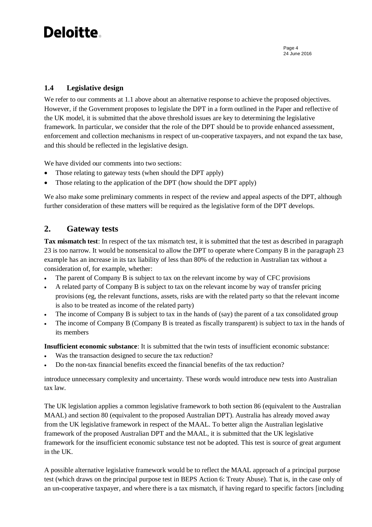## Deloitte.

### **1.4 Legislative design**

We refer to our comments at 1.1 above about an alternative response to achieve the proposed objectives. However, if the Government proposes to legislate the DPT in a form outlined in the Paper and reflective of the UK model, it is submitted that the above threshold issues are key to determining the legislative framework. In particular, we consider that the role of the DPT should be to provide enhanced assessment, enforcement and collection mechanisms in respect of un-cooperative taxpayers, and not expand the tax base, and this should be reflected in the legislative design.

We have divided our comments into two sections:

- Those relating to gateway tests (when should the DPT apply)
- Those relating to the application of the DPT (how should the DPT apply)

We also make some preliminary comments in respect of the review and appeal aspects of the DPT, although further consideration of these matters will be required as the legislative form of the DPT develops.

### **2. Gateway tests**

**Tax mismatch test**: In respect of the tax mismatch test, it is submitted that the test as described in paragraph 23 is too narrow. It would be nonsensical to allow the DPT to operate where Company B in the paragraph 23 example has an increase in its tax liability of less than 80% of the reduction in Australian tax without a consideration of, for example, whether:

- The parent of Company B is subject to tax on the relevant income by way of CFC provisions
- A related party of Company B is subject to tax on the relevant income by way of transfer pricing provisions (eg, the relevant functions, assets, risks are with the related party so that the relevant income is also to be treated as income of the related party)
- The income of Company B is subject to tax in the hands of (say) the parent of a tax consolidated group
- The income of Company B (Company B is treated as fiscally transparent) is subject to tax in the hands of its members

**Insufficient economic substance**: It is submitted that the twin tests of insufficient economic substance:

- Was the transaction designed to secure the tax reduction?
- Do the non-tax financial benefits exceed the financial benefits of the tax reduction?

introduce unnecessary complexity and uncertainty. These words would introduce new tests into Australian tax law.

The UK legislation applies a common legislative framework to both section 86 (equivalent to the Australian MAAL) and section 80 (equivalent to the proposed Australian DPT). Australia has already moved away from the UK legislative framework in respect of the MAAL. To better align the Australian legislative framework of the proposed Australian DPT and the MAAL, it is submitted that the UK legislative framework for the insufficient economic substance test not be adopted. This test is source of great argument in the UK.

A possible alternative legislative framework would be to reflect the MAAL approach of a principal purpose test (which draws on the principal purpose test in BEPS Action 6: Treaty Abuse). That is, in the case only of an un-cooperative taxpayer, and where there is a tax mismatch, if having regard to specific factors [including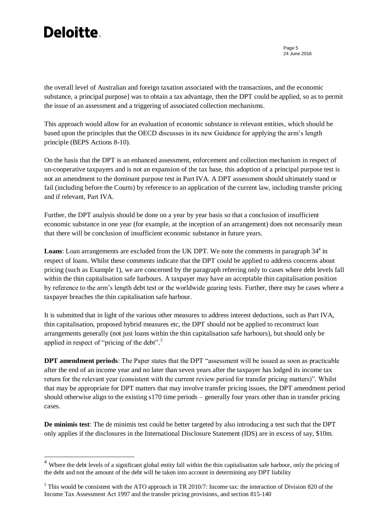# **Deloitte**

 $\overline{a}$ 

Page 5 24 June 2016

the overall level of Australian and foreign taxation associated with the transactions, and the economic substance, a principal purpose] was to obtain a tax advantage, then the DPT could be applied, so as to permit the issue of an assessment and a triggering of associated collection mechanisms.

This approach would allow for an evaluation of economic substance in relevant entities, which should be based upon the principles that the OECD discusses in its new Guidance for applying the arm's length principle (BEPS Actions 8-10).

On the basis that the DPT is an enhanced assessment, enforcement and collection mechanism in respect of un-cooperative taxpayers and is not an expansion of the tax base, this adoption of a principal purpose test is not an amendment to the dominant purpose test in Part IVA. A DPT assessment should ultimately stand or fail (including before the Courts) by reference to an application of the current law, including transfer pricing and if relevant, Part IVA.

Further, the DPT analysis should be done on a year by year basis so that a conclusion of insufficient economic substance in one year (for example, at the inception of an arrangement) does not necessarily mean that there will be conclusion of insufficient economic substance in future years.

Loans: Loan arrangements are excluded from the UK DPT. We note the comments in paragraph 34<sup>4</sup> in respect of loans. Whilst these comments indicate that the DPT could be applied to address concerns about pricing (such as Example 1), we are concerned by the paragraph referring only to cases where debt levels fall within the thin capitalisation safe harbours. A taxpayer may have an acceptable thin capitalisation position by reference to the arm's length debt test or the worldwide gearing tests. Further, there may be cases where a taxpayer breaches the thin capitalisation safe harbour.

It is submitted that in light of the various other measures to address interest deductions, such as Part IVA, thin capitalisation, proposed hybrid measures etc, the DPT should not be applied to reconstruct loan arrangements generally (not just loans within the thin capitalisation safe harbours), but should only be applied in respect of "pricing of the debt".<sup>5</sup>

**DPT amendment periods**: The Paper states that the DPT "assessment will be issued as soon as practicable after the end of an income year and no later than seven years after the taxpayer has lodged its income tax return for the relevant year (consistent with the current review period for transfer pricing matters)". Whilst that may be appropriate for DPT matters that may involve transfer pricing issues, the DPT amendment period should otherwise align to the existing s170 time periods – generally four years other than in transfer pricing cases.

**De minimis test**: The de minimis test could be better targeted by also introducing a test such that the DPT only applies if the disclosures in the International Disclosure Statement (IDS) are in excess of say, \$10m.

<sup>&</sup>lt;sup>4</sup> Where the debt levels of a significant global entity fall within the thin capitalisation safe harbour, only the pricing of the debt and not the amount of the debt will be taken into account in determining any DPT liability

<sup>&</sup>lt;sup>5</sup> This would be consistent with the ATO approach in TR 2010/7: Income tax: the interaction of Division 820 of the Income Tax Assessment Act 1997 and the transfer pricing provisions, and section 815-140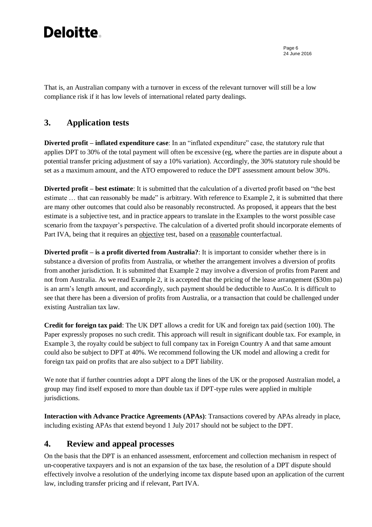## **Deloitte**

Page 6 24 June 2016

That is, an Australian company with a turnover in excess of the relevant turnover will still be a low compliance risk if it has low levels of international related party dealings.

### **3. Application tests**

**Diverted profit – inflated expenditure case**: In an "inflated expenditure" case, the statutory rule that applies DPT to 30% of the total payment will often be excessive (eg, where the parties are in dispute about a potential transfer pricing adjustment of say a 10% variation). Accordingly, the 30% statutory rule should be set as a maximum amount, and the ATO empowered to reduce the DPT assessment amount below 30%.

**Diverted profit – best estimate**: It is submitted that the calculation of a diverted profit based on "the best estimate … that can reasonably be made" is arbitrary. With reference to Example 2, it is submitted that there are many other outcomes that could also be reasonably reconstructed. As proposed, it appears that the best estimate is a subjective test, and in practice appears to translate in the Examples to the worst possible case scenario from the taxpayer's perspective. The calculation of a diverted profit should incorporate elements of Part IVA, being that it requires an objective test, based on a reasonable counterfactual.

**Diverted profit – is a profit diverted from Australia?**: It is important to consider whether there is in substance a diversion of profits from Australia, or whether the arrangement involves a diversion of profits from another jurisdiction. It is submitted that Example 2 may involve a diversion of profits from Parent and not from Australia. As we read Example 2, it is accepted that the pricing of the lease arrangement (\$30m pa) is an arm's length amount, and accordingly, such payment should be deductible to AusCo. It is difficult to see that there has been a diversion of profits from Australia, or a transaction that could be challenged under existing Australian tax law.

**Credit for foreign tax paid**: The UK DPT allows a credit for UK and foreign tax paid (section 100). The Paper expressly proposes no such credit. This approach will result in significant double tax. For example, in Example 3, the royalty could be subject to full company tax in Foreign Country A and that same amount could also be subject to DPT at 40%. We recommend following the UK model and allowing a credit for foreign tax paid on profits that are also subject to a DPT liability.

We note that if further countries adopt a DPT along the lines of the UK or the proposed Australian model, a group may find itself exposed to more than double tax if DPT-type rules were applied in multiple jurisdictions.

**Interaction with Advance Practice Agreements (APAs)**: Transactions covered by APAs already in place, including existing APAs that extend beyond 1 July 2017 should not be subject to the DPT.

### **4. Review and appeal processes**

On the basis that the DPT is an enhanced assessment, enforcement and collection mechanism in respect of un-cooperative taxpayers and is not an expansion of the tax base, the resolution of a DPT dispute should effectively involve a resolution of the underlying income tax dispute based upon an application of the current law, including transfer pricing and if relevant, Part IVA.